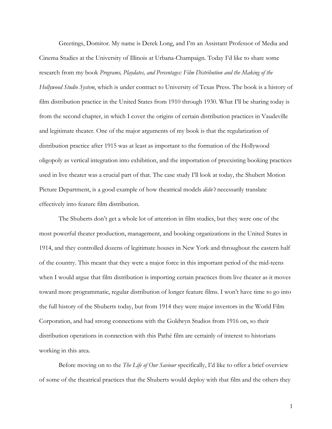Greetings, Domitor. My name is Derek Long, and I'm an Assistant Professor of Media and Cinema Studies at the University of Illinois at Urbana-Champaign. Today I'd like to share some research from my book *Programs, Playdates, and Percentages: Film Distribution and the Making of the Hollywood Studio System*, which is under contract to University of Texas Press. The book is a history of film distribution practice in the United States from 1910 through 1930. What I'll be sharing today is from the second chapter, in which I cover the origins of certain distribution practices in Vaudeville and legitimate theater. One of the major arguments of my book is that the regularization of distribution practice after 1915 was at least as important to the formation of the Hollywood oligopoly as vertical integration into exhibition, and the importation of preexisting booking practices used in live theater was a crucial part of that. The case study I'll look at today, the Shubert Motion Picture Department, is a good example of how theatrical models *didn't* necessarily translate effectively into feature film distribution.

The Shuberts don't get a whole lot of attention in film studies, but they were one of the most powerful theater production, management, and booking organizations in the United States in 1914, and they controlled dozens of legitimate houses in New York and throughout the eastern half of the country. This meant that they were a major force in this important period of the mid-teens when I would argue that film distribution is importing certain practices from live theater as it moves toward more programmatic, regular distribution of longer feature films. I won't have time to go into the full history of the Shuberts today, but from 1914 they were major investors in the World Film Corporation, and had strong connections with the Goldwyn Studios from 1916 on, so their distribution operations in connection with this Pathé film are certainly of interest to historians working in this area.

Before moving on to the *The Life of Our Saviour* specifically, I'd like to offer a brief overview of some of the theatrical practices that the Shuberts would deploy with that film and the others they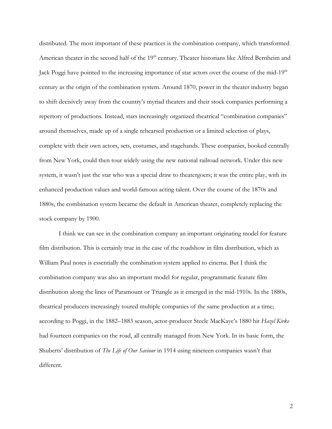distributed. The most important of these practices is the combination company, which transformed American theater in the second half of the 19<sup>th</sup> century. Theater historians like Alfred Bernheim and Jack Poggi have pointed to the increasing importance of star actors over the course of the mid-19<sup>th</sup> century as the origin of the combination system. Around 1870, power in the theater industry began to shift decisively away from the country's myriad theaters and their stock companies performing a repertory of productions. Instead, stars increasingly organized theatrical "combination companies" around themselves, made up of a single rehearsed production or a limited selection of plays, complete with their own actors, sets, costumes, and stagehands. These companies, booked centrally from New York, could then tour widely using the new national railroad network. Under this new system, it wasn't just the star who was a special draw to theatergoers; it was the entire play, with its enhanced production values and world-famous acting talent. Over the course of the 1870s and 1880s, the combination system became the default in American theater, completely replacing the stock company by 1900.

I think we can see in the combination company an important originating model for feature film distribution. This is certainly true in the case of the roadshow in film distribution, which as William Paul notes is essentially the combination system applied to cinema. But I think the combination company was also an important model for regular, programmatic feature film distribution along the lines of Paramount or Triangle as it emerged in the mid-1910s. In the 1880s, theatrical producers increasingly toured multiple companies of the same production at a time; according to Poggi, in the 1882–1883 season, actor-producer Steele MacKaye's 1880 hit *Hazel Kirke* had fourteen companies on the road, all centrally managed from New York. In its basic form, the Shuberts' distribution of *The Life of Our Saviour* in 1914 using nineteen companies wasn't that different.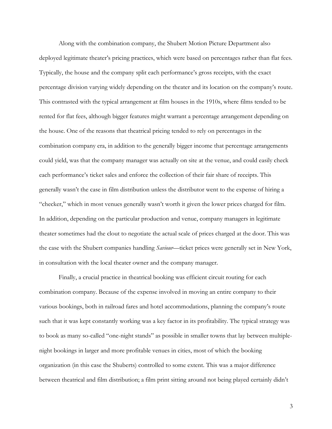Along with the combination company, the Shubert Motion Picture Department also deployed legitimate theater's pricing practices, which were based on percentages rather than flat fees. Typically, the house and the company split each performance's gross receipts, with the exact percentage division varying widely depending on the theater and its location on the company's route. This contrasted with the typical arrangement at film houses in the 1910s, where films tended to be rented for flat fees, although bigger features might warrant a percentage arrangement depending on the house. One of the reasons that theatrical pricing tended to rely on percentages in the combination company era, in addition to the generally bigger income that percentage arrangements could yield, was that the company manager was actually on site at the venue, and could easily check each performance's ticket sales and enforce the collection of their fair share of receipts. This generally wasn't the case in film distribution unless the distributor went to the expense of hiring a "checker," which in most venues generally wasn't worth it given the lower prices charged for film. In addition, depending on the particular production and venue, company managers in legitimate theater sometimes had the clout to negotiate the actual scale of prices charged at the door. This was the case with the Shubert companies handling *Saviour*—ticket prices were generally set in New York, in consultation with the local theater owner and the company manager.

Finally, a crucial practice in theatrical booking was efficient circuit routing for each combination company. Because of the expense involved in moving an entire company to their various bookings, both in railroad fares and hotel accommodations, planning the company's route such that it was kept constantly working was a key factor in its profitability. The typical strategy was to book as many so-called "one-night stands" as possible in smaller towns that lay between multiplenight bookings in larger and more profitable venues in cities, most of which the booking organization (in this case the Shuberts) controlled to some extent. This was a major difference between theatrical and film distribution; a film print sitting around not being played certainly didn't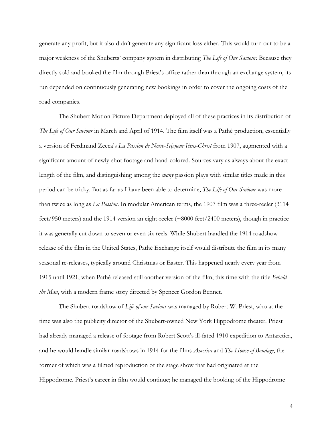generate any profit, but it also didn't generate any significant loss either. This would turn out to be a major weakness of the Shuberts' company system in distributing *The Life of Our Saviour*. Because they directly sold and booked the film through Priest's office rather than through an exchange system, its run depended on continuously generating new bookings in order to cover the ongoing costs of the road companies.

The Shubert Motion Picture Department deployed all of these practices in its distribution of *The Life of Our Saviour* in March and April of 1914. The film itself was a Pathé production, essentially a version of Ferdinand Zecca's *La Passion de Notre-Seigneur Jésus-Christ* from 1907, augmented with a significant amount of newly-shot footage and hand-colored. Sources vary as always about the exact length of the film, and distinguishing among the *many* passion plays with similar titles made in this period can be tricky. But as far as I have been able to determine, *The Life of Our Saviour* was more than twice as long as *La Passion*. In modular American terms, the 1907 film was a three-reeler (3114 feet/950 meters) and the 1914 version an eight-reeler (~8000 feet/2400 meters), though in practice it was generally cut down to seven or even six reels. While Shubert handled the 1914 roadshow release of the film in the United States, Pathé Exchange itself would distribute the film in its many seasonal re-releases, typically around Christmas or Easter. This happened nearly every year from 1915 until 1921, when Pathé released still another version of the film, this time with the title *Behold the Man*, with a modern frame story directed by Spencer Gordon Bennet.

The Shubert roadshow of *Life of our Saviour* was managed by Robert W. Priest, who at the time was also the publicity director of the Shubert-owned New York Hippodrome theater. Priest had already managed a release of footage from Robert Scott's ill-fated 1910 expedition to Antarctica, and he would handle similar roadshows in 1914 for the films *America* and *The House of Bondage*, the former of which was a filmed reproduction of the stage show that had originated at the Hippodrome. Priest's career in film would continue; he managed the booking of the Hippodrome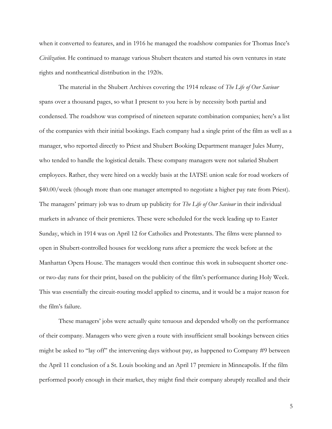when it converted to features, and in 1916 he managed the roadshow companies for Thomas Ince's *Civilization*. He continued to manage various Shubert theaters and started his own ventures in state rights and nontheatrical distribution in the 1920s.

The material in the Shubert Archives covering the 1914 release of *The Life of Our Saviour*  spans over a thousand pages, so what I present to you here is by necessity both partial and condensed. The roadshow was comprised of nineteen separate combination companies; here's a list of the companies with their initial bookings. Each company had a single print of the film as well as a manager, who reported directly to Priest and Shubert Booking Department manager Jules Murry, who tended to handle the logistical details. These company managers were not salaried Shubert employees. Rather, they were hired on a weekly basis at the IATSE union scale for road workers of \$40.00/week (though more than one manager attempted to negotiate a higher pay rate from Priest). The managers' primary job was to drum up publicity for *The Life of Our Saviour* in their individual markets in advance of their premieres. These were scheduled for the week leading up to Easter Sunday, which in 1914 was on April 12 for Catholics and Protestants. The films were planned to open in Shubert-controlled houses for weeklong runs after a premiere the week before at the Manhattan Opera House. The managers would then continue this work in subsequent shorter oneor two-day runs for their print, based on the publicity of the film's performance during Holy Week. This was essentially the circuit-routing model applied to cinema, and it would be a major reason for the film's failure.

These managers' jobs were actually quite tenuous and depended wholly on the performance of their company. Managers who were given a route with insufficient small bookings between cities might be asked to "lay off" the intervening days without pay, as happened to Company #9 between the April 11 conclusion of a St. Louis booking and an April 17 premiere in Minneapolis. If the film performed poorly enough in their market, they might find their company abruptly recalled and their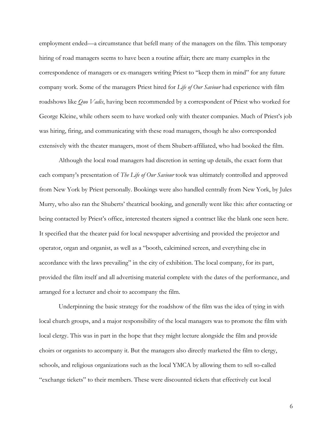employment ended—a circumstance that befell many of the managers on the film. This temporary hiring of road managers seems to have been a routine affair; there are many examples in the correspondence of managers or ex-managers writing Priest to "keep them in mind" for any future company work. Some of the managers Priest hired for *Life of Our Saviour* had experience with film roadshows like *Quo Vadis*, having been recommended by a correspondent of Priest who worked for George Kleine, while others seem to have worked only with theater companies. Much of Priest's job was hiring, firing, and communicating with these road managers, though he also corresponded extensively with the theater managers, most of them Shubert-affiliated, who had booked the film.

Although the local road managers had discretion in setting up details, the exact form that each company's presentation of *The Life of Our Saviour* took was ultimately controlled and approved from New York by Priest personally. Bookings were also handled centrally from New York, by Jules Murry, who also ran the Shuberts' theatrical booking, and generally went like this: after contacting or being contacted by Priest's office, interested theaters signed a contract like the blank one seen here. It specified that the theater paid for local newspaper advertising and provided the projector and operator, organ and organist, as well as a "booth, calcimined screen, and everything else in accordance with the laws prevailing" in the city of exhibition. The local company, for its part, provided the film itself and all advertising material complete with the dates of the performance, and arranged for a lecturer and choir to accompany the film.

Underpinning the basic strategy for the roadshow of the film was the idea of tying in with local church groups, and a major responsibility of the local managers was to promote the film with local clergy. This was in part in the hope that they might lecture alongside the film and provide choirs or organists to accompany it. But the managers also directly marketed the film to clergy, schools, and religious organizations such as the local YMCA by allowing them to sell so-called "exchange tickets" to their members. These were discounted tickets that effectively cut local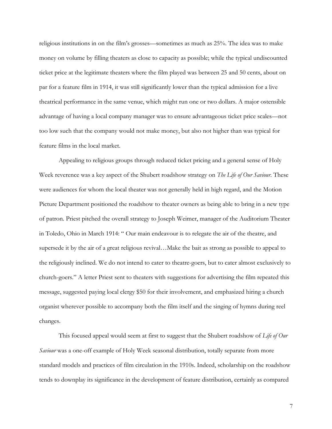religious institutions in on the film's grosses—sometimes as much as 25%. The idea was to make money on volume by filling theaters as close to capacity as possible; while the typical undiscounted ticket price at the legitimate theaters where the film played was between 25 and 50 cents, about on par for a feature film in 1914, it was still significantly lower than the typical admission for a live theatrical performance in the same venue, which might run one or two dollars. A major ostensible advantage of having a local company manager was to ensure advantageous ticket price scales—not too low such that the company would not make money, but also not higher than was typical for feature films in the local market.

Appealing to religious groups through reduced ticket pricing and a general sense of Holy Week reverence was a key aspect of the Shubert roadshow strategy on *The Life of Our Saviour*. These were audiences for whom the local theater was not generally held in high regard, and the Motion Picture Department positioned the roadshow to theater owners as being able to bring in a new type of patron. Priest pitched the overall strategy to Joseph Weimer, manager of the Auditorium Theater in Toledo, Ohio in March 1914: " Our main endeavour is to relegate the air of the theatre, and supersede it by the air of a great religious revival…Make the bait as strong as possible to appeal to the religiously inclined. We do not intend to cater to theatre-goers, but to cater almost exclusively to church-goers." A letter Priest sent to theaters with suggestions for advertising the film repeated this message, suggested paying local clergy \$50 for their involvement, and emphasized hiring a church organist wherever possible to accompany both the film itself and the singing of hymns during reel changes.

This focused appeal would seem at first to suggest that the Shubert roadshow of *Life of Our Saviour* was a one-off example of Holy Week seasonal distribution, totally separate from more standard models and practices of film circulation in the 1910s. Indeed, scholarship on the roadshow tends to downplay its significance in the development of feature distribution, certainly as compared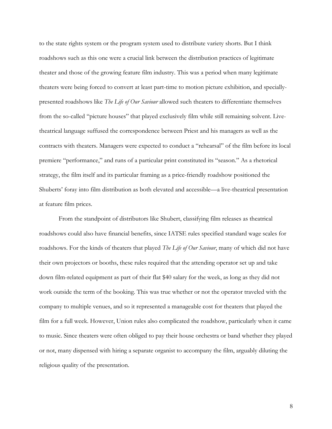to the state rights system or the program system used to distribute variety shorts. But I think roadshows such as this one were a crucial link between the distribution practices of legitimate theater and those of the growing feature film industry. This was a period when many legitimate theaters were being forced to convert at least part-time to motion picture exhibition, and speciallypresented roadshows like *The Life of Our Saviour* allowed such theaters to differentiate themselves from the so-called "picture houses" that played exclusively film while still remaining solvent. Livetheatrical language suffused the correspondence between Priest and his managers as well as the contracts with theaters. Managers were expected to conduct a "rehearsal" of the film before its local premiere "performance," and runs of a particular print constituted its "season." As a rhetorical strategy, the film itself and its particular framing as a price-friendly roadshow positioned the Shuberts' foray into film distribution as both elevated and accessible—a live-theatrical presentation at feature film prices.

From the standpoint of distributors like Shubert, classifying film releases as theatrical roadshows could also have financial benefits, since IATSE rules specified standard wage scales for roadshows. For the kinds of theaters that played *The Life of Our Saviour*, many of which did not have their own projectors or booths, these rules required that the attending operator set up and take down film-related equipment as part of their flat \$40 salary for the week, as long as they did not work outside the term of the booking. This was true whether or not the operator traveled with the company to multiple venues, and so it represented a manageable cost for theaters that played the film for a full week. However, Union rules also complicated the roadshow, particularly when it came to music. Since theaters were often obliged to pay their house orchestra or band whether they played or not, many dispensed with hiring a separate organist to accompany the film, arguably diluting the religious quality of the presentation.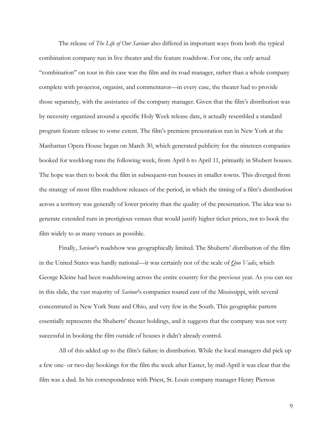The release of *The Life of Our Saviour* also differed in important ways from both the typical combination company run in live theater and the feature roadshow. For one, the only actual "combination" on tour in this case was the film and its road manager, rather than a whole company complete with projector, organist, and commentator—in every case, the theater had to provide those separately, with the assistance of the company manager. Given that the film's distribution was by necessity organized around a specific Holy Week release date, it actually resembled a standard program feature release to some extent. The film's premiere presentation run in New York at the Manhattan Opera House began on March 30, which generated publicity for the nineteen companies booked for weeklong runs the following week, from April 6 to April 11, primarily in Shubert houses. The hope was then to book the film in subsequent-run houses in smaller towns. This diverged from the strategy of most film roadshow releases of the period, in which the timing of a film's distribution across a territory was generally of lower priority than the quality of the presentation. The idea was to generate extended runs in prestigious venues that would justify higher ticket prices, not to book the film widely to as many venues as possible.

Finally, *Saviour*'s roadshow was geographically limited. The Shuberts' distribution of the film in the United States was hardly national—it was certainly not of the scale of *Quo Vadis*, which George Kleine had been roadshowing across the entire country for the previous year. As you can see in this slide, the vast majority of *Saviour*'s companies toured east of the Mississippi, with several concentrated in New York State and Ohio, and very few in the South. This geographic pattern essentially represents the Shuberts' theater holdings, and it suggests that the company was not very successful in booking the film outside of houses it didn't already control.

All of this added up to the film's failure in distribution. While the local managers did pick up a few one- or two-day bookings for the film the week after Easter, by mid-April it was clear that the film was a dud. In his correspondence with Priest, St. Louis company manager Henry Pierson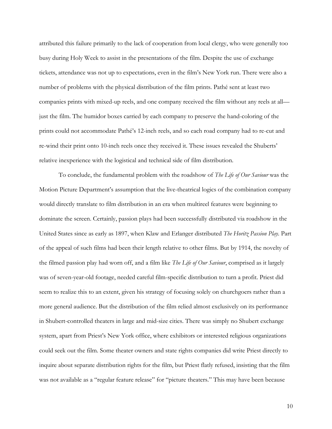attributed this failure primarily to the lack of cooperation from local clergy, who were generally too busy during Holy Week to assist in the presentations of the film. Despite the use of exchange tickets, attendance was not up to expectations, even in the film's New York run. There were also a number of problems with the physical distribution of the film prints. Pathé sent at least two companies prints with mixed-up reels, and one company received the film without any reels at all just the film. The humidor boxes carried by each company to preserve the hand-coloring of the prints could not accommodate Pathé's 12-inch reels, and so each road company had to re-cut and re-wind their print onto 10-inch reels once they received it. These issues revealed the Shuberts' relative inexperience with the logistical and technical side of film distribution.

To conclude, the fundamental problem with the roadshow of *The Life of Our Saviour* was the Motion Picture Department's assumption that the live-theatrical logics of the combination company would directly translate to film distribution in an era when multireel features were beginning to dominate the screen. Certainly, passion plays had been successfully distributed via roadshow in the United States since as early as 1897, when Klaw and Erlanger distributed *The Horitz Passion Play*. Part of the appeal of such films had been their length relative to other films. But by 1914, the novelty of the filmed passion play had worn off, and a film like *The Life of Our Saviour*, comprised as it largely was of seven-year-old footage, needed careful film-specific distribution to turn a profit. Priest did seem to realize this to an extent, given his strategy of focusing solely on churchgoers rather than a more general audience. But the distribution of the film relied almost exclusively on its performance in Shubert-controlled theaters in large and mid-size cities. There was simply no Shubert exchange system, apart from Priest's New York office, where exhibitors or interested religious organizations could seek out the film. Some theater owners and state rights companies did write Priest directly to inquire about separate distribution rights for the film, but Priest flatly refused, insisting that the film was not available as a "regular feature release" for "picture theaters." This may have been because